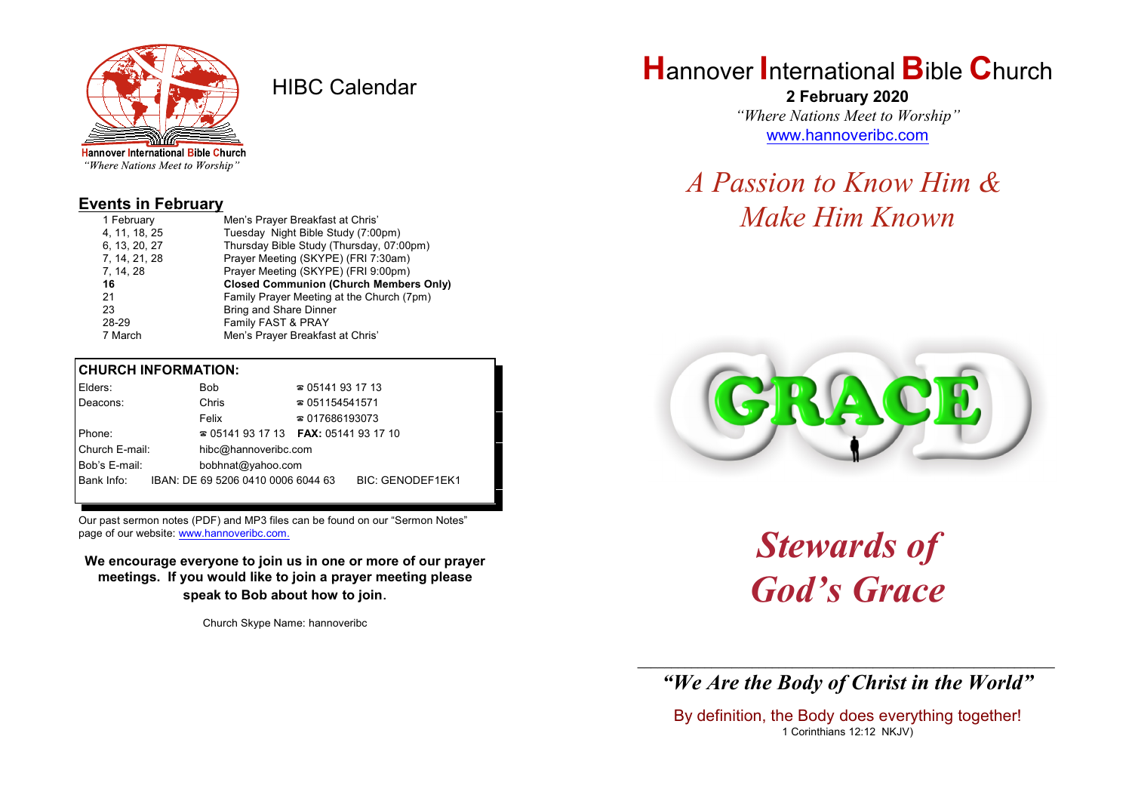

HIBC Calendar

"Where Nations Meet to Worship"

#### **Events in February**

| 1 February    | Men's Prayer Breakfast at Chris'              |
|---------------|-----------------------------------------------|
| 4, 11, 18, 25 | Tuesday Night Bible Study (7:00pm)            |
| 6, 13, 20, 27 | Thursday Bible Study (Thursday, 07:00pm)      |
| 7, 14, 21, 28 | Prayer Meeting (SKYPE) (FRI 7:30am)           |
| 7, 14, 28     | Prayer Meeting (SKYPE) (FRI 9:00pm)           |
|               |                                               |
| 16            | <b>Closed Communion (Church Members Only)</b> |
| 21            | Family Prayer Meeting at the Church (7pm)     |
| 23            | Bring and Share Dinner                        |
| 28-29         | Family FAST & PRAY                            |

#### **CHURCH INFORMATION:**

| Elders:        | <b>Bob</b>                         | $\approx 05141931713$                    |                         |  |
|----------------|------------------------------------|------------------------------------------|-------------------------|--|
| Deacons:       | Chris                              | $\approx 051154541571$                   |                         |  |
|                | Felix                              | $\approx 017686193073$                   |                         |  |
| Phone:         |                                    | $\approx 05141931713$ FAX: 0514193 17 10 |                         |  |
| Church E-mail: | hibc@hannoveribc.com               |                                          |                         |  |
| Bob's E-mail:  | bobhnat@yahoo.com                  |                                          |                         |  |
| Bank Info:     | IBAN: DE 69 5206 0410 0006 6044 63 |                                          | <b>BIC: GENODEF1EK1</b> |  |
|                |                                    |                                          |                         |  |

Our past sermon notes (PDF) and MP3 files can be found on our "Sermon Notes" page of our website: [www.hannoveribc.com.](http://www.hannoveribc.com.)

**We encourage everyone to join us in one or more of our prayer meetings. If you would like to join a prayer meeting please speak to Bob about how to join**.

Church Skype Name: hannoveribc

# **H**annover **I**nternational **B**ible **C**hurch

**2 February 2020** *"Where Nations Meet to Worship"* [www.hannoveribc.com](http://www.hannoveribc.com)

*A Passion to Know Him & Make Him Known*



*Stewards of God's Grace*

\_\_\_\_\_\_\_\_\_\_\_\_\_\_\_\_\_\_\_\_\_\_\_\_\_\_\_\_\_\_\_\_\_\_\_\_\_\_\_\_\_\_\_\_\_\_\_\_\_\_\_\_\_\_\_\_\_\_\_\_\_\_ *"We Are the Body of Christ in the World"*

By definition, the Body does everything together! 1 Corinthians 12:12 NKJV)